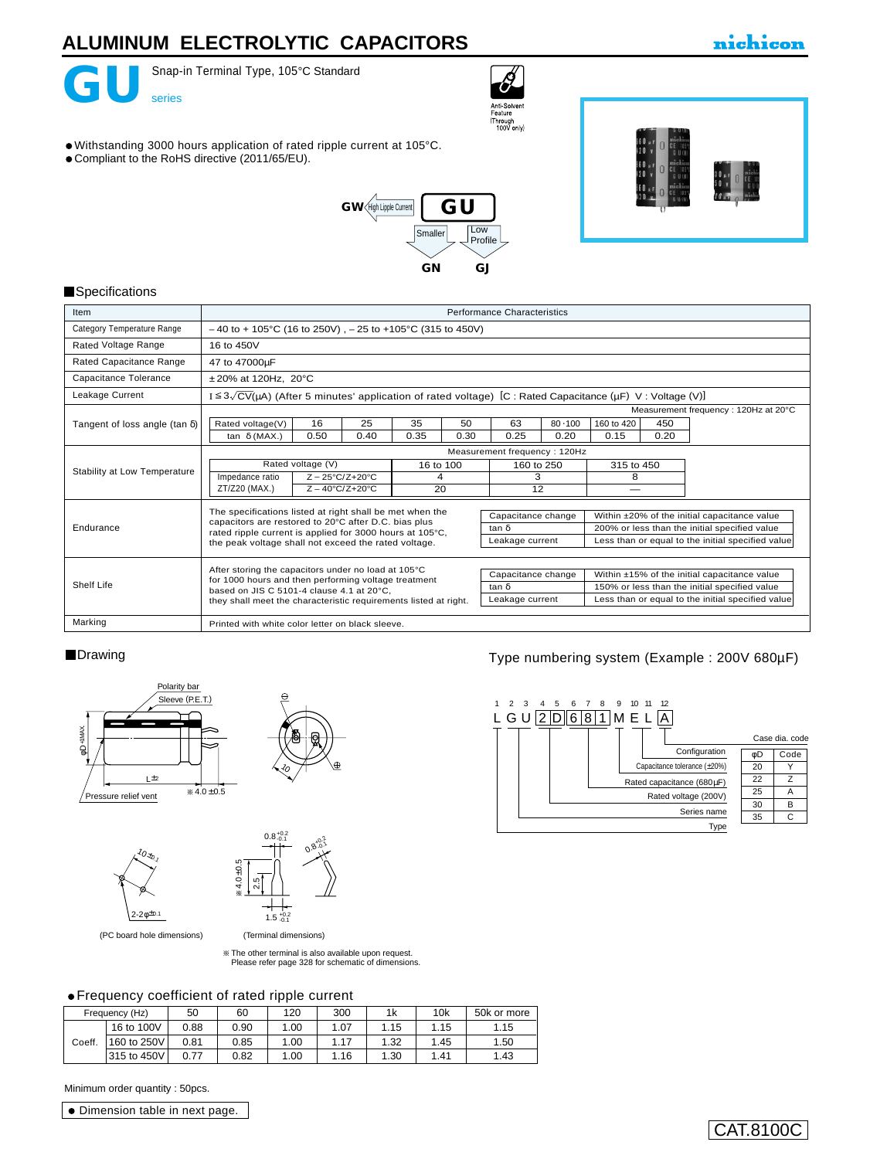

Snap-in Terminal Type, 105°C Standard



- Withstanding 3000 hours application of rated ripple current at 105°C.
- Compliant to the RoHS directive (2011/65/EU).





nichicon

#### **Specifications**

| Item                                  | <b>Performance Characteristics</b>                                                                                                                                                |  |  |  |  |  |  |
|---------------------------------------|-----------------------------------------------------------------------------------------------------------------------------------------------------------------------------------|--|--|--|--|--|--|
| Category Temperature Range            | $-40$ to + 105°C (16 to 250V), $-25$ to +105°C (315 to 450V)                                                                                                                      |  |  |  |  |  |  |
| Rated Voltage Range                   | 16 to 450V                                                                                                                                                                        |  |  |  |  |  |  |
| Rated Capacitance Range               | 47 to 47000µF                                                                                                                                                                     |  |  |  |  |  |  |
| Capacitance Tolerance                 | $±20\%$ at 120Hz, 20 $°C$                                                                                                                                                         |  |  |  |  |  |  |
| Leakage Current                       | $I \leq 3\sqrt{CV}(\mu A)$ (After 5 minutes' application of rated voltage) [C : Rated Capacitance ( $\mu F$ ) V : Voltage (V)]                                                    |  |  |  |  |  |  |
|                                       | Measurement frequency: 120Hz at 20°C                                                                                                                                              |  |  |  |  |  |  |
| Tangent of loss angle (tan $\delta$ ) | 16<br>25<br>35<br>50<br>63<br>80.100<br>160 to 420<br>Rated voltage(V)<br>450                                                                                                     |  |  |  |  |  |  |
|                                       | 0.20<br>0.15<br>0.50<br>0.35<br>0.30<br>0.25<br>tan $\delta$ (MAX.)<br>0.40<br>0.20                                                                                               |  |  |  |  |  |  |
|                                       | Measurement frequency: 120Hz                                                                                                                                                      |  |  |  |  |  |  |
|                                       | Rated voltage (V)<br>16 to 100<br>315 to 450<br>160 to 250                                                                                                                        |  |  |  |  |  |  |
| Stability at Low Temperature          | Impedance ratio<br>$Z - 25^{\circ}C/Z + 20^{\circ}C$<br>3<br>8<br>4                                                                                                               |  |  |  |  |  |  |
|                                       | ZT/Z20 (MAX.)<br>20<br>12<br>$Z - 40^{\circ}C/Z + 20^{\circ}C$                                                                                                                    |  |  |  |  |  |  |
|                                       | The specifications listed at right shall be met when the                                                                                                                          |  |  |  |  |  |  |
|                                       | Capacitance change<br>Within ±20% of the initial capacitance value<br>capacitors are restored to 20°C after D.C. bias plus                                                        |  |  |  |  |  |  |
| Endurance                             | 200% or less than the initial specified value<br>tan δ<br>rated ripple current is applied for 3000 hours at 105°C,                                                                |  |  |  |  |  |  |
|                                       | Less than or equal to the initial specified value<br>Leakage current<br>the peak voltage shall not exceed the rated voltage.                                                      |  |  |  |  |  |  |
|                                       |                                                                                                                                                                                   |  |  |  |  |  |  |
|                                       | After storing the capacitors under no load at 105°C<br>Capacitance change<br>Within ±15% of the initial capacitance value<br>for 1000 hours and then performing voltage treatment |  |  |  |  |  |  |
| Shelf Life                            | 150% or less than the initial specified value<br>tan δ<br>based on JIS C 5101-4 clause 4.1 at 20°C.                                                                               |  |  |  |  |  |  |
|                                       | Less than or equal to the initial specified value<br>Leakage current<br>they shall meet the characteristic requirements listed at right.                                          |  |  |  |  |  |  |
| Marking                               | Printed with white color letter on black sleeve.                                                                                                                                  |  |  |  |  |  |  |

#### **Drawing**





(Terminal dimensions)

 $1.5 \frac{+0.2}{0.1}$ 

(PC board hole dimensions)

 $^{\prime}$ 0 $\star$ 0.1

 $2 - 2φ^{\pm 0.1}$ 

The other terminal is also available upon request. [Please refer page 328 for schematic of dimensions.](e-term01.pdf)

### Frequency coefficient of rated ripple current

|        | Frequency (Hz) | 50   | 60   | 120  | 300  | 1k   | 10k  | 50k or more |
|--------|----------------|------|------|------|------|------|------|-------------|
|        | 16 to 100V     | 0.88 | 0.90 | 1.00 | 1.07 | 1.15 | 1.15 | 1.15        |
| Coeff. | 160 to 250V    | 0.81 | 0.85 | 1.00 | 1.17 | 1.32 | 1.45 | 1.50        |
|        | 315 to 450V    | 0.77 | 0.82 | 1.00 | 1.16 | 1.30 | 1.41 | 1.43        |

Minimum order quantity : 50pcs.

Dimension table in next page.

### Type numbering system (Example : 200V 680µF)



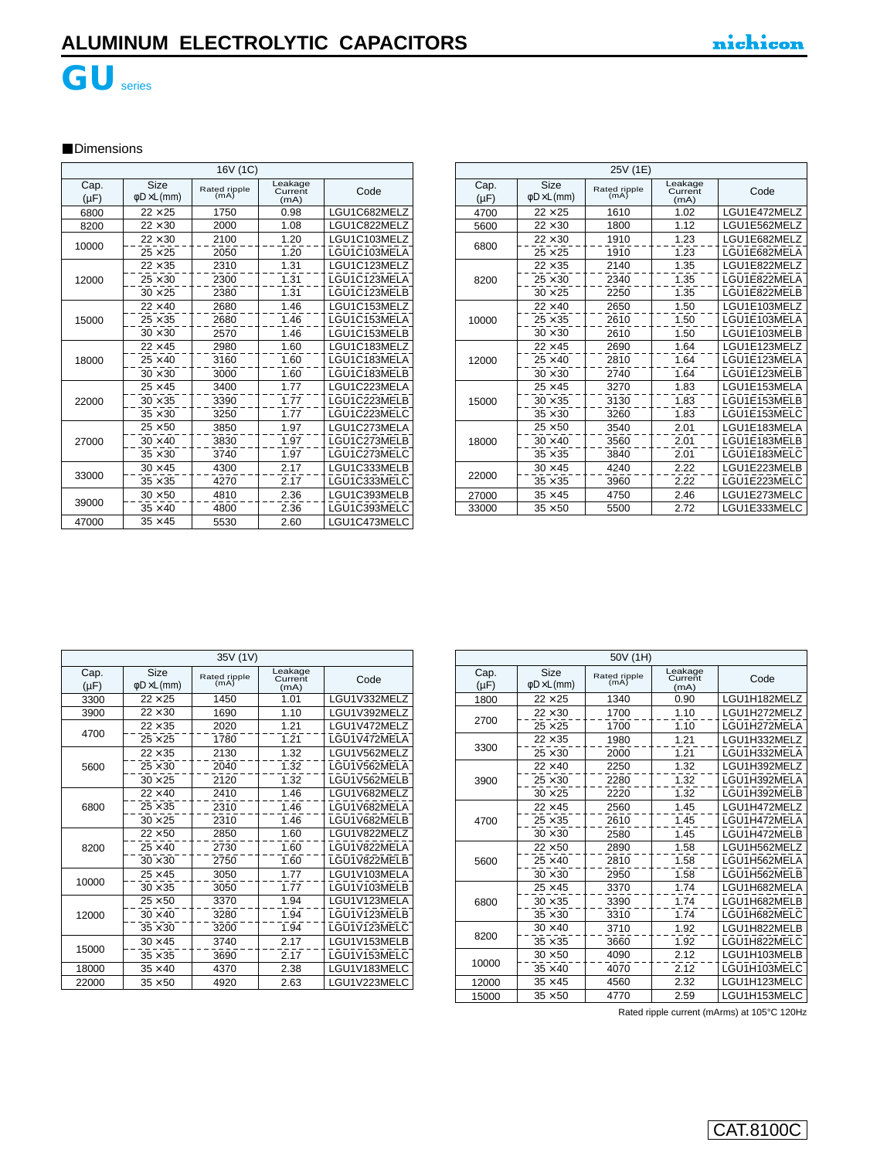

### **Dimensions**

|                   | 16V (1C)                        |                      |                            |              |  |
|-------------------|---------------------------------|----------------------|----------------------------|--------------|--|
| Cap.<br>$(\mu F)$ | Size<br>$\phi$ D $\times$ L(mm) | Rated ripple<br>(mA) | Leakage<br>Current<br>(mA) | Code         |  |
| 6800              | $22 \times 25$                  | 1750                 | 0.98                       | LGU1C682MELZ |  |
| 8200              | $22 \times 30$                  | 2000                 | 1.08                       | LGU1C822MELZ |  |
| 10000             | $22 \times 30$                  | 2100                 | 1.20                       | LGU1C103MELZ |  |
|                   | $25 \times 25$                  | 2050                 | 1.20                       | LGU1C103MELA |  |
|                   | $22 \times 35$                  | 2310                 | 1.31                       | LGU1C123MELZ |  |
| 12000             | $25 \times 30$                  | 2300                 | 1.31                       | LGU1C123MELA |  |
|                   | $30 \times 25$                  | 2380                 | 1.31                       | LGU1C123MELB |  |
|                   | $22 \times 40$                  | 2680                 | 1.46                       | LGU1C153MELZ |  |
| 15000             | $25 \times 35$                  | 2680                 | 1.46                       | LGU1C153MELA |  |
|                   | $30 \times 30$                  | 2570                 | 1.46                       | LGU1C153MELB |  |
|                   | $22 \times 45$                  | 2980                 | 1.60                       | LGU1C183MELZ |  |
| 18000             | $25 \times 40$                  | 3160                 | 1.60                       | LGU1C183MELA |  |
|                   | $30 \times 30$                  | 3000                 | 1.60                       | LGU1C183MELB |  |
|                   | $25 \times 45$                  | 3400                 | 1.77                       | LGU1C223MELA |  |
| 22000             | $30 \times 35$                  | 3390                 | 1.77                       | LGU1C223MELB |  |
|                   | $35 \times 30$                  | 3250                 | 1.77                       | LGU1C223MELC |  |
|                   | $25 \times 50$                  | 3850                 | 1.97                       | LGU1C273MELA |  |
| 27000             | $30 \times 40$                  | 3830                 | 1.97                       | LGU1C273MELB |  |
|                   | $35 \times 30$                  | 3740                 | 1.97                       | LGU1C273MELC |  |
|                   | $30 \times 45$                  | 4300                 | 2.17                       | LGU1C333MELB |  |
| 33000             | $35 \times 35$                  | 4270                 | 2.17                       | LGU1C333MELC |  |
|                   | $30 \times 50$                  | 4810                 | 2.36                       | LGU1C393MELB |  |
| 39000             | $35 \times 40$                  | 4800                 | 2.36                       | LGU1C393MELC |  |
| 47000             | $35 \times 45$                  | 5530                 | 2.60                       | LGU1C473MELC |  |

| 25V (1E)          |                                 |                      |                            |              |
|-------------------|---------------------------------|----------------------|----------------------------|--------------|
| Cap.<br>$(\mu F)$ | Size<br>$\phi$ D $\times$ L(mm) | Rated ripple<br>(mA) | Leakage<br>Current<br>(mA) | Code         |
| 4700              | $22 \times 25$                  | 1610                 | 1.02                       | LGU1E472MELZ |
| 5600              | $22 \times 30$                  | 1800                 | 1.12                       | LGU1E562MELZ |
|                   | $22 \times 30$                  | 1910                 | 1.23                       | LGU1E682MELZ |
| 6800              | $25 \times 25$                  | 1910                 | 1.23                       | LGU1E682MELA |
|                   | $22 \times 35$                  | 2140                 | 1.35                       | LGU1E822MELZ |
| 8200              | $25 \times 30$                  | 2340                 | 1.35                       | LGU1E822MELA |
|                   | $30 \times 25$                  | 2250                 | 1.35                       | LGU1E822MELB |
|                   | $22 \times 40$                  | 2650                 | 1.50                       | LGU1E103MELZ |
| 10000             | $25 \times 35$                  | 2610                 | 1.50                       | LGU1E103MELA |
|                   | $30 \times 30$                  | 2610                 | 1.50                       | LGU1E103MELB |
|                   | $22 \times 45$                  | 2690                 | 1.64                       | LGU1E123MELZ |
| 12000             | $25 \times 40$                  | 2810                 | 1.64                       | LGU1E123MELA |
|                   | $30 \times 30$                  | 2740                 | 1.64                       | LGU1E123MELB |
|                   | $25 \times 45$                  | 3270                 | 1.83                       | LGU1E153MELA |
| 15000             | $30 \times 35$                  | 3130                 | 1.83                       | LGU1E153MELB |
|                   | $35 \times 30$                  | 3260                 | 1.83                       | LGU1E153MELC |
|                   | $25 \times 50$                  | 3540                 | 2.01                       | LGU1E183MELA |
| 18000             | $30 \times 40$                  | 3560                 | 2.01                       | LGU1E183MELB |
|                   | $35 \times 35$                  | 3840                 | 2.01                       | LGU1E183MELC |
|                   | $30 \times 45$                  | 4240                 | 2.22                       | LGU1E223MELB |
| 22000             | $35 \times 35$                  | 3960                 | 2.22                       | LGU1E223MELC |
| 27000             | $35 \times 45$                  | 4750                 | 2.46                       | LGU1E273MELC |
| 33000             | $35 \times 50$                  | 5500                 | 2.72                       | LGU1E333MELC |

|                   | 35V (1V)                               |                      |                            |              |  |
|-------------------|----------------------------------------|----------------------|----------------------------|--------------|--|
| Cap.<br>$(\mu F)$ | <b>Size</b><br>$\phi$ D $\times$ L(mm) | Rated ripple<br>(mA) | Leakage<br>Current<br>(mA) | Code         |  |
| 3300              | $22 \times 25$                         | 1450                 | 1.01                       | LGU1V332MELZ |  |
| 3900              | $22 \times 30$                         | 1690                 | 1.10                       | LGU1V392MELZ |  |
| 4700              | $22 \times 35$                         | 2020                 | 1.21                       | LGU1V472MELZ |  |
|                   | $25 \times 25$                         | 1780                 | 1.21                       | LGU1V472MELA |  |
|                   | $22 \times 35$                         | 2130                 | 1.32                       | LGU1V562MELZ |  |
| 5600              | $25 \times 30$                         | 2040                 | 1.32                       | LGU1V562MELA |  |
|                   | $30 \times 25$                         | 2120                 | 1.32                       | LGU1V562MELB |  |
|                   | $22 \times 40$                         | 2410                 | 1.46                       | LGU1V682MELZ |  |
| 6800              | $25 \times 35$                         | 2310                 | 1.46                       | LGU1V682MELA |  |
|                   | $30 \times 25$                         | 2310                 | 1.46                       | LGU1V682MELB |  |
|                   | $22 \times 50$                         | 2850                 | 1.60                       | LGU1V822MELZ |  |
| 8200              | $25 \times 40$                         | 2730                 | 1.60                       | LGU1V822MELA |  |
|                   | $30 \times 30$                         | 2750                 | 1.60                       | LGU1V822MELB |  |
| 10000             | $25 \times 45$                         | 3050                 | 1.77                       | LGU1V103MELA |  |
|                   | $30 \times 35$                         | 3050                 | 1.77                       | LGU1V103MELB |  |
|                   | $25 \times 50$                         | 3370                 | 1.94                       | LGU1V123MELA |  |
| 12000             | $30 \times 40$                         | 3280                 | 1.94                       | LGU1V123MELB |  |
|                   | $35 \times 30$                         | 3200                 | 1.94                       | LGU1V123MELC |  |
|                   | $30 \times 45$                         | 3740                 | 2.17                       | LGU1V153MELB |  |
| 15000             | $35 \times 35$                         | 3690                 | 2.17                       | LGU1V153MELC |  |
| 18000             | $35 \times 40$                         | 4370                 | 2.38                       | LGU1V183MELC |  |
| 22000             | $35 \times 50$                         | 4920                 | 2.63                       | LGU1V223MELC |  |

|                   | 50V (1H)                        |                      |                            |              |  |
|-------------------|---------------------------------|----------------------|----------------------------|--------------|--|
| Cap.<br>$(\mu F)$ | Size<br>$\phi$ D $\times$ L(mm) | Rated ripple<br>(mA) | Leakage<br>Current<br>(mA) | Code         |  |
| 1800              | $22 \times 25$                  | 1340                 | 0.90                       | LGU1H182MELZ |  |
|                   | $22 \times 30$                  | 1700                 | 1.10                       | LGU1H272MELZ |  |
| 2700              | $25 \times 25$                  | 1700                 | 1.10                       | LGU1H272MELA |  |
|                   | $22 \times 35$                  | 1980                 | 1.21                       | LGU1H332MELZ |  |
| 3300              | $25 \times 30$                  | 2000                 | 1.21                       | LGU1H332MELA |  |
|                   | $22 \times 40$                  | 2250                 | 1.32                       | LGU1H392MELZ |  |
| 3900              | $25 \times 30$                  | 2280                 | 1.32                       | LGU1H392MELA |  |
|                   | $30 \times 25$                  | 2220                 | 1.32                       | LGU1H392MELB |  |
|                   | $22 \times 45$                  | 2560                 | 1.45                       | LGU1H472MELZ |  |
| 4700              | $25 \times 35$                  | 2610                 | 1.45                       | LGU1H472MELA |  |
|                   | $30 \times 30$                  | 2580                 | 1.45                       | LGU1H472MELB |  |
|                   | $22 \times 50$                  | 2890                 | 1.58                       | LGU1H562MELZ |  |
| 5600              | $25 \times 40$                  | 2810                 | 1.58                       | LGU1H562MELA |  |
|                   | $30 \times 30$                  | 2950                 | 1.58                       | LGU1H562MELB |  |
|                   | $25 \times 45$                  | 3370                 | 1.74                       | LGU1H682MELA |  |
| 6800              | $30 \times 35$                  | 3390                 | 1.74                       | LGU1H682MELB |  |
|                   | $35 \times 30$                  | 3310                 | 1.74                       | LGU1H682MELC |  |
|                   | $30 \times 40$                  | 3710                 | 1.92                       | LGU1H822MELB |  |
| 8200              | $35 \times 35$                  | 3660                 | 1.92                       | LGU1H822MELC |  |
|                   | $30 \times 50$                  | 4090                 | 2.12                       | LGU1H103MELB |  |
| 10000             | $35 \times 40$                  | 4070                 | 2.12                       | LGU1H103MELC |  |
| 12000             | $35 \times 45$                  | 4560                 | 2.32                       | LGU1H123MELC |  |
| 15000             | $35 \times 50$                  | 4770                 | 2.59                       | LGU1H153MELC |  |

Rated ripple current (mArms) at 105°C 120Hz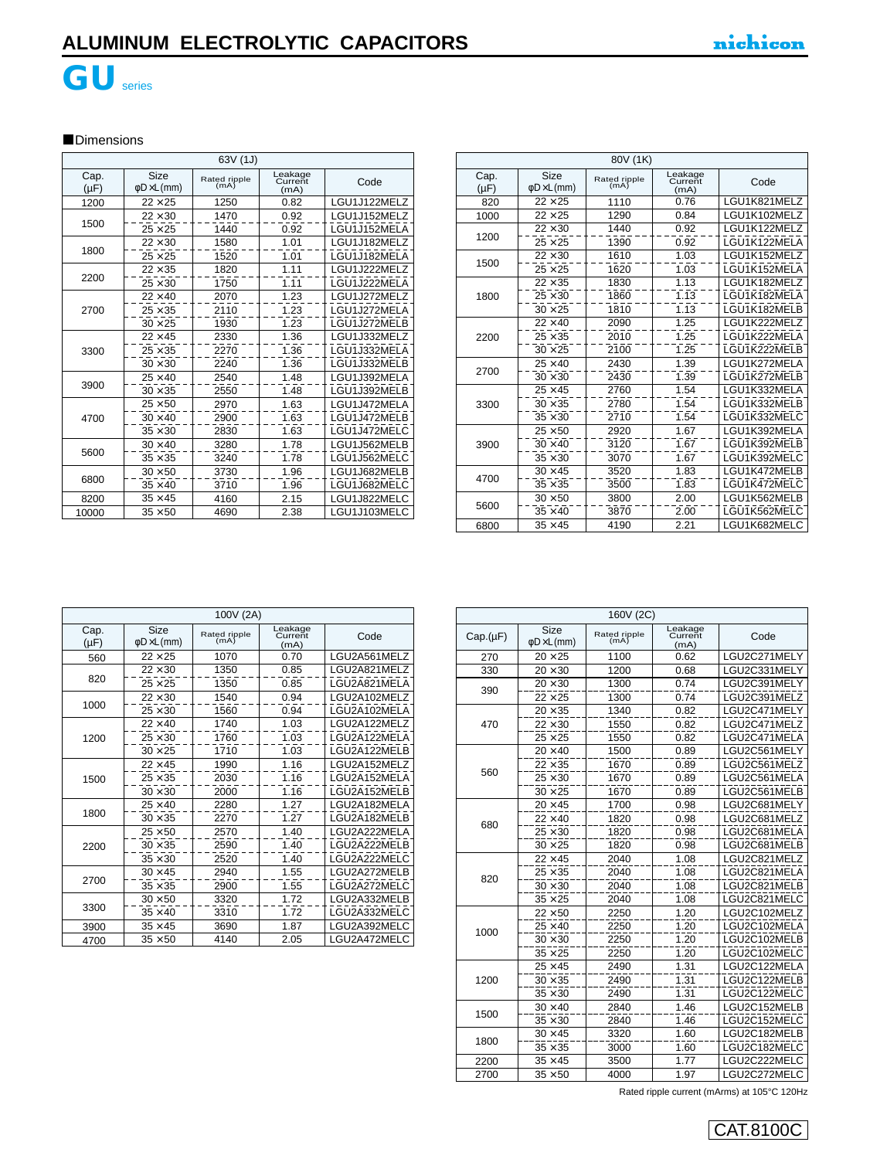

# **GU**series

### **Dimensions**

|      | 63V (1J)          |                                        |                      |                            |              |  |
|------|-------------------|----------------------------------------|----------------------|----------------------------|--------------|--|
|      | Cap.<br>$(\mu F)$ | <b>Size</b><br>$\phi$ D $\times$ L(mm) | Rated ripple<br>(mA) | Leakage<br>Current<br>(mA) | Code         |  |
|      | 1200              | $22\times 25$                          | 1250                 | 0.82                       | LGU1J122MELZ |  |
|      |                   | $22 \times 30$                         | 1470                 | 0.92                       | LGU1J152MELZ |  |
|      | 1500              | $25 \times 25$                         | 1440                 | 0.92                       | LGU1J152MELA |  |
|      |                   | $22 \times 30$                         | 1580                 | 1.01                       | LGU1J182MELZ |  |
|      | 1800              | $25 \times 25$                         | 1520                 | 1.01                       | LGU1J182MELA |  |
|      |                   | $22 \times 35$                         | 1820                 | 1.11                       | LGU1J222MELZ |  |
|      | 2200              | $25 \times 30$                         | 1750                 | 1.11                       | LGU1J222MELA |  |
|      |                   | $22 \times 40$                         | 2070                 | 1.23                       | LGU1J272MELZ |  |
|      | 2700              | $25 \times 35$                         | 2110                 | 1.23                       | LGU1J272MELA |  |
|      |                   | $30 \times 25$                         | 1930                 | 1.23                       | LGU1J272MELB |  |
|      |                   | $22 \times 45$                         | 2330                 | 1.36                       | LGU1J332MELZ |  |
|      | 3300              | $25 \times 35$                         | 2270                 | 1.36                       | LGU1J332MELA |  |
|      |                   | $30 \times 30$                         | 2240                 | 1.36                       | LGU1J332MELB |  |
|      |                   | $25 \times 40$                         | 2540                 | 1.48                       | LGU1J392MELA |  |
|      | 3900              | $30 \times 35$                         | 2550                 | 1.48                       | LGU1J392MELB |  |
|      |                   | $25 \times 50$                         | 2970                 | 1.63                       | LGU1J472MELA |  |
|      | 4700              | $30 \times 40$                         | 2900                 | 1.63                       | LGU1J472MELB |  |
|      |                   | $35 \times 30$                         | 2830                 | 1.63                       | LGU1J472MELC |  |
|      |                   | $30 \times 40$                         | 3280                 | 1.78                       | LGU1J562MELB |  |
|      | 5600              | $35 \times 35$                         | 3240                 | 1.78                       | LGU1J562MELC |  |
|      |                   | $30 \times 50$                         | 3730                 | 1.96                       | LGU1J682MELB |  |
| 6800 | $35 \times 40$    | 3710                                   | 1.96                 | LGU1J682MELC               |              |  |
|      | 8200              | $35 \times 45$                         | 4160                 | 2.15                       | LGU1J822MELC |  |
|      | 10000             | $35 \times 50$                         | 4690                 | 2.38                       | LGU1J103MELC |  |

|                   | 80V (1K)                        |                      |                            |              |  |
|-------------------|---------------------------------|----------------------|----------------------------|--------------|--|
| Cap.<br>$(\mu F)$ | Size<br>$\phi$ D $\times$ L(mm) | Rated ripple<br>(mA) | Leakage<br>Current<br>(mA) | Code         |  |
| 820               | $22 \times 25$                  | 1110                 | 0.76                       | LGU1K821MELZ |  |
| 1000              | $22 \times 25$                  | 1290                 | 0.84                       | LGU1K102MELZ |  |
|                   | $22 \times 30$                  | 1440                 | 0.92                       | LGU1K122MELZ |  |
| 1200              | $25 \times 25$                  | 1390                 | 0.92                       | LGU1K122MELA |  |
|                   | $22 \times 30$                  | 1610                 | 1.03                       | LGU1K152MELZ |  |
| 1500              | $25 \times 25$                  | 1620                 | 1.03                       | LGU1K152MELA |  |
|                   | $22 \times 35$                  | 1830                 | 1.13                       | LGU1K182MELZ |  |
| 1800              | $25 \times 30$                  | 1860                 | 1.13                       | LGU1K182MELA |  |
|                   | $30 \times 25$                  | 1810                 | 1.13                       | LGU1K182MELB |  |
|                   | $22 \times 40$                  | 2090                 | 1.25                       | LGU1K222MELZ |  |
| 2200              | $25 \times 35$                  | 2010                 | 1.25                       | LGU1K222MELA |  |
|                   | $30 \times 25$                  | 2100                 | 1.25                       | LGU1K222MELB |  |
|                   | $25 \times 40$                  | 2430                 | 1.39                       | LGU1K272MELA |  |
| 2700              | $30 \times 30$                  | 2430                 | 1.39                       | LGU1K272MELB |  |
|                   | $25 \times 45$                  | 2760                 | 1.54                       | LGU1K332MELA |  |
| 3300              | $30 \times 35$                  | 2780                 | 1.54                       | LGU1K332MELB |  |
|                   | $35 \times 30$                  | 2710                 | 1.54                       | LGU1K332MELC |  |
|                   | $25 \times 50$                  | 2920                 | 1.67                       | LGU1K392MELA |  |
| 3900              | $30 \times 40$                  | 3120                 | 1.67                       | LGU1K392MELB |  |
|                   | $35 \times 30$                  | 3070                 | 1.67                       | LGU1K392MELC |  |
|                   | $30 \times 45$                  | 3520                 | 1.83                       | LGU1K472MELB |  |
| 4700              | $35 \times 35$                  | 3500                 | 1.83                       | LGU1K472MELC |  |
|                   | $30 \times 50$                  | 3800                 | 2.00                       | LGU1K562MELB |  |
| 5600              | $35 \times 40$                  | 3870                 | 2.00                       | LGU1K562MELC |  |
| 6800              | $35 \times 45$                  | 4190                 | 2.21                       | LGU1K682MELC |  |

| 100V (2A)         |                                    |                      |                            |              |
|-------------------|------------------------------------|----------------------|----------------------------|--------------|
| Cap.<br>$(\mu F)$ | Size<br>$\phi$ D $\times$ L $(mm)$ | Rated ripple<br>(mA) | Leakage<br>Current<br>(mA) | Code         |
| 560               | $22 \times 25$                     | 1070                 | 0.70                       | LGU2A561MELZ |
|                   | $22 \times 30$                     | 1350                 | 0.85                       | LGU2A821MELZ |
| 820               | $25 \times 25$                     | 1350                 | 0.85                       | LGU2A821MELA |
|                   | $22 \times 30$                     | 1540                 | 0.94                       | LGU2A102MELZ |
| 1000              | $25 \times 30$                     | 1560                 | 0.94                       | LGU2A102MELA |
|                   | $22 \times 40$                     | 1740                 | 1.03                       | LGU2A122MELZ |
| 1200              | $25 \times 30$                     | 1760                 | 1.03                       | LGU2A122MELA |
|                   | $30 \times 25$                     | 1710                 | 1.03                       | LGU2A122MELB |
|                   | $22 \times 45$                     | 1990                 | 1.16                       | LGU2A152MELZ |
| 1500              | $25 \times 35$                     | 2030                 | 1.16                       | LGU2A152MELA |
|                   | $30 \times 30$                     | 2000                 | 1.16                       | LGU2A152MELB |
|                   | $25 \times 40$                     | 2280                 | 1.27                       | LGU2A182MELA |
| 1800              | $30 \times 35$                     | 2270                 | 1.27                       | LGU2A182MELB |
|                   | $25 \times 50$                     | 2570                 | 1.40                       | LGU2A222MELA |
| 2200              | $30 \times 35$                     | 2590                 | 1.40                       | LGU2A222MELB |
|                   | $35 \times 30$                     | 2520                 | 1.40                       | LGU2A222MELC |
|                   | $30 \times 45$                     | 2940                 | 1.55                       | LGU2A272MELB |
| 2700              | $35 \times 35$                     | 2900                 | 1.55                       | LGU2A272MELC |
|                   | $30 \times 50$                     | 3320                 | 1.72                       | LGU2A332MELB |
| 3300              | $35 \times 40$                     | 3310                 | 1.72                       | LGU2A332MELC |
| 3900              | $35 \times 45$                     | 3690                 | 1.87                       | LGU2A392MELC |
| 4700              | $35 \times 50$                     | 4140                 | 2.05                       | LGU2A472MELC |

|          | 160V (2C)                       |                      |                            |              |  |
|----------|---------------------------------|----------------------|----------------------------|--------------|--|
| Cap.(µF) | Size<br>$\phi$ D $\times$ L(mm) | Rated ripple<br>(mA) | Leakage<br>Current<br>(mA) | Code         |  |
| 270      | $20 \times 25$                  | 1100                 | 0.62                       | LGU2C271MELY |  |
| 330      | $20 \times 30$                  | 1200                 | 0.68                       | LGU2C331MELY |  |
| 390      | $20 \times 30$                  | 1300                 | 0.74                       | LGU2C391MELY |  |
|          | $22 \times 25$                  | 1300                 | 0.74                       | LGU2C391MELZ |  |
|          | $20 \times 35$                  | 1340                 | 0.82                       | LGU2C471MELY |  |
| 470      | $22 \times 30$                  | 1550                 | 0.82                       | LGU2C471MELZ |  |
|          | $25 \times 25$                  | 1550                 | 0.82                       | LGU2C471MELA |  |
|          | $20 \times 40$                  | 1500                 | 0.89                       | LGU2C561MELY |  |
|          | $22 \times 35$                  | 1670                 | 0.89                       | LGU2C561MELZ |  |
| 560      | $25 \times 30$                  | 1670                 | 0.89                       | LGU2C561MELA |  |
|          | $30 \times 25$                  | 1670                 | 0.89                       | LGU2C561MELB |  |
|          | $20 \times 45$                  | 1700                 | 0.98                       | LGU2C681MELY |  |
| 680      | $22 \times 40$                  | 1820                 | 0.98                       | LGU2C681MELZ |  |
|          | $25 \times 30$                  | 1820                 | 0.98                       | LGU2C681MELA |  |
|          | $30 \times 25$                  | 1820                 | 0.98                       | LGU2C681MELB |  |
|          | $22 \times 45$                  | 2040                 | 1.08                       | LGU2C821MELZ |  |
| 820      | $25 \times 35$                  | 2040                 | 1.08                       | LGU2C821MELA |  |
|          | $30 \times 30$                  | 2040                 | 1.08                       | LGU2C821MELB |  |
|          | $35 \times 25$                  | 2040                 | 1.08                       | LGU2C821MELC |  |
|          | $22 \times 50$                  | 2250                 | 1.20                       | LGU2C102MELZ |  |
| 1000     | $25 \times 40$                  | 2250                 | 1.20                       | LGU2C102MELA |  |
|          | $30 \times 30$                  | 2250                 | 1.20                       | LGU2C102MELB |  |
|          | $35 \times 25$                  | 2250                 | 1.20                       | LGU2C102MELC |  |
|          | $25 \times 45$                  | 2490                 | 1.31                       | LGU2C122MELA |  |
| 1200     | $30 \times 35$                  | 2490                 | 1.31                       | LGU2C122MELB |  |
|          | $35 \times 30$                  | 2490                 | 1.31                       | LGU2C122MELC |  |
|          | $30 \times 40$                  | 2840                 | 1.46                       | LGU2C152MELB |  |
| 1500     | $35 \times 30$                  | 2840                 | 1.46                       | LGU2C152MELC |  |
|          | $30 \times 45$                  | 3320                 | 1.60                       | LGU2C182MELB |  |
| 1800     | $35 \times 35$                  | 3000                 | 1.60                       | LGU2C182MELC |  |
| 2200     | $35 \times 45$                  | 3500                 | 1.77                       | LGU2C222MELC |  |
| 2700     | $35 \times 50$                  | 4000                 | 1.97                       | LGU2C272MELC |  |

Rated ripple current (mArms) at 105°C 120Hz

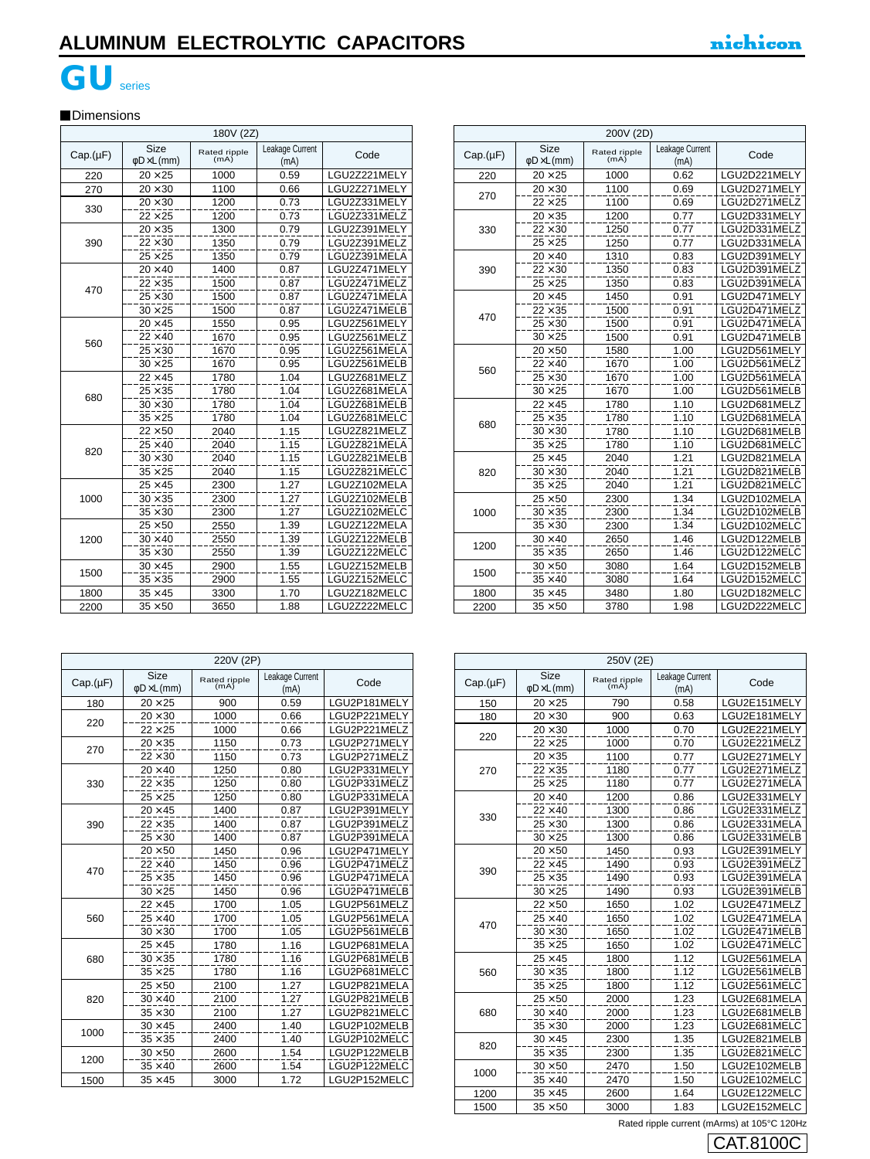# **GU**series

### **Dimensions**

|          | 180V (2Z)                              |                      |                         |              |  |
|----------|----------------------------------------|----------------------|-------------------------|--------------|--|
| Cap.(µF) | <b>Size</b><br>$\phi$ D $\times$ L(mm) | Rated ripple<br>(mA) | Leakage Current<br>(mA) | Code         |  |
| 220      | $20 \times 25$                         | 1000                 | 0.59                    | LGU2Z221MELY |  |
| 270      | $20 \times 30$                         | 1100                 | 0.66                    | LGU2Z271MELY |  |
| 330      | $20 \times 30$                         | 1200                 | 0.73                    | LGU2Z331MELY |  |
|          | $22 \times 25$                         | 1200                 | 0.73                    | LGU2Z331MELZ |  |
|          | $20 \times 35$                         | 1300                 | 0.79                    | LGU2Z391MELY |  |
| 390      | $22 \times 30$                         | 1350                 | 0.79                    | LGU2Z391MELZ |  |
|          | $25 \times 25$                         | 1350                 | 0.79                    | LGU2Z391MELA |  |
|          | $20 \times 40$                         | 1400                 | 0.87                    | LGU2Z471MELY |  |
| 470      | $22 \times 35$                         | 1500                 | 0.87                    | LGU2Z471MELZ |  |
|          | $25 \times 30$                         | 1500                 | 0.87                    | LGU2Z471MELA |  |
|          | $30 \times 25$                         | 1500                 | 0.87                    | LGU2Z471MELB |  |
|          | $20 \times 45$                         | 1550                 | 0.95                    | LGU2Z561MELY |  |
| 560      | $22 \times 40$                         | 1670                 | 0.95                    | LGU2Z561MELZ |  |
|          | $25 \times 30$                         | 1670                 | 0.95                    | LGU2Z561MELA |  |
|          | $30 \times 25$                         | 1670                 | 0.95                    | LGU2Z561MELB |  |
|          | $22 \times 45$                         | 1780                 | 1.04                    | LGU2Z681MELZ |  |
| 680      | $25 \times 35$                         | 1780                 | 1.04                    | LGU2Z681MELA |  |
|          | $30 \times 30$                         | 1780                 | 1.04                    | LGU2Z681MELB |  |
|          | $35 \times 25$                         | 1780                 | 1.04                    | LGU2Z681MELC |  |
|          | $22 \times 50$                         | 2040                 | 1.15                    | LGU2Z821MELZ |  |
| 820      | $25 \times 40$                         | 2040                 | 1.15                    | LGU2Z821MELA |  |
|          | $30 \times 30$                         | 2040                 | 1.15                    | LGU2Z821MELB |  |
|          | $35 \times 25$                         | 2040                 | 1.15                    | LGU2Z821MELC |  |
|          | $25 \times 45$                         | 2300                 | 1.27                    | LGU2Z102MELA |  |
| 1000     | $30 \times 35$                         | 2300                 | 1.27                    | LGU2Z102MELB |  |
|          | $35 \times 30$                         | 2300                 | 1.27                    | LGU2Z102MELC |  |
|          | $25 \times 50$                         | 2550                 | 1.39                    | LGU2Z122MELA |  |
| 1200     | $30 \times 40$                         | 2550                 | 1.39                    | LGU2Z122MELB |  |
|          | $35 \times 30$                         | 2550                 | 1.39                    | LGU2Z122MELC |  |
|          | $30 \times 45$                         | 2900                 | 1.55                    | LGU2Z152MELB |  |
| 1500     | $35 \times 35$                         | 2900                 | 1.55                    | LGU2Z152MELC |  |
| 1800     | $35 \times 45$                         | 3300                 | 1.70                    | LGU2Z182MELC |  |
| 2200     | $35 \times 50$                         | 3650                 | 1.88                    | LGU2Z222MELC |  |

| 200V (2D) |                                 |                      |                         |              |
|-----------|---------------------------------|----------------------|-------------------------|--------------|
| Cap.(µF)  | Size<br>$\phi$ D $\times$ L(mm) | Rated ripple<br>(mA) | Leakage Current<br>(mA) | Code         |
| 220       | $20 \times 25$                  | 1000                 | 0.62                    | LGU2D221MELY |
| 270       | $20 \times 30$                  | 1100                 | 0.69                    | LGU2D271MELY |
|           | $22 \times 25$                  | 1100                 | 0.69                    | LGU2D271MELZ |
|           | $20 \times 35$                  | 1200                 | 0.77                    | LGU2D331MELY |
| 330       | $22 \times 30$                  | 1250                 | 0.77                    | LGU2D331MELZ |
|           | $25 \times 25$                  | 1250                 | 0.77                    | LGU2D331MELA |
|           | $20 \times 40$                  | 1310                 | 0.83                    | LGU2D391MELY |
| 390       | $22 \times 30$                  | 1350                 | 0.83                    | LGU2D391MELZ |
|           | $25 \times 25$                  | 1350                 | 0.83                    | LGU2D391MELA |
|           | $20 \times 45$                  | 1450                 | 0.91                    | LGU2D471MELY |
| 470       | $22 \times 35$                  | 1500                 | 0.91                    | LGU2D471MELZ |
|           | $25 \times 30$                  | 1500                 | 0.91                    | LGU2D471MELA |
|           | $30 \times 25$                  | 1500                 | 0.91                    | LGU2D471MELB |
|           | $20 \times 50$                  | 1580                 | 1.00                    | LGU2D561MELY |
|           | $22 \times 40$                  | 1670                 | 1.00                    | LGU2D561MELZ |
| 560       | $25 \times 30$                  | 1670                 | 1.00                    | LGU2D561MELA |
|           | $30 \times 25$                  | 1670                 | 1.00                    | LGU2D561MELB |
|           | $22 \times 45$                  | 1780                 | 1.10                    | LGU2D681MELZ |
| 680       | $25 \times 35$                  | 1780                 | 1.10                    | LGU2D681MELA |
|           | $30 \times 30$                  | 1780                 | 1.10                    | LGU2D681MELB |
|           | $35 \times 25$                  | 1780                 | 1.10                    | LGU2D681MELC |
|           | $25 \times 45$                  | 2040                 | 1.21                    | LGU2D821MELA |
| 820       | $30 \times 30$                  | 2040                 | 1.21                    | LGU2D821MELB |
|           | $35 \times 25$                  | 2040                 | 1.21                    | LGU2D821MELC |
|           | $25 \times 50$                  | 2300                 | 1.34                    | LGU2D102MELA |
| 1000      | $30 \times 35$                  | 2300                 | 1.34                    | LGU2D102MELB |
|           | $35 \times 30$                  | 2300                 | 1.34                    | LGU2D102MELC |
|           | $30 \times 40$                  | 2650                 | 1.46                    | LGU2D122MELB |
| 1200      | $35 \times 35$                  | 2650                 | 1.46                    | LGU2D122MELC |
|           | $30 \times 50$                  | 3080                 | 1.64                    | LGU2D152MELB |
| 1500      | $35 \times 40$                  | 3080                 | 1.64                    | LGU2D152MELC |
| 1800      | $35 \times 45$                  | 3480                 | 1.80                    | LGU2D182MELC |
| 2200      | $35 \times 50$                  | 3780                 | 1.98                    | LGU2D222MELC |

|  |          | 220V (2P)                              |                      |                         |              |  |
|--|----------|----------------------------------------|----------------------|-------------------------|--------------|--|
|  | Cap.(µF) | <b>Size</b><br>$\phi$ D $\times$ L(mm) | Rated ripple<br>(mA) | Leakage Current<br>(mA) | Code         |  |
|  | 180      | $20 \times 25$                         | 900                  | 0.59                    | LGU2P181MELY |  |
|  | 220      | $20 \times 30$                         | 1000                 | 0.66                    | LGU2P221MELY |  |
|  |          | $22 \times 25$                         | 1000                 | 0.66                    | LGU2P221MELZ |  |
|  | 270      | $20 \times 35$                         | 1150                 | 0.73                    | LGU2P271MELY |  |
|  |          | $22 \times 30$                         | 1150                 | 0.73                    | LGU2P271MELZ |  |
|  |          | $20 \times 40$                         | 1250                 | 0.80                    | LGU2P331MELY |  |
|  | 330      | $22 \times 35$                         | 1250                 | 0.80                    | LGU2P331MELZ |  |
|  |          | $25 \times 25$                         | 1250                 | 0.80                    | LGU2P331MELA |  |
|  |          | $20 \times 45$                         | 1400                 | 0.87                    | LGU2P391MELY |  |
|  | 390      | $22 \times 35$                         | 1400                 | 0.87                    | LGU2P391MELZ |  |
|  |          | $25 \times 30$                         | 1400                 | 0.87                    | LGU2P391MELA |  |
|  |          | $20 \times 50$                         | 1450                 | 0.96                    | LGU2P471MELY |  |
|  | 470      | $22 \times 40$                         | 1450                 | 0.96                    | LGU2P471MELZ |  |
|  |          | $25 \times 35$                         | 1450                 | 0.96                    | LGU2P471MELA |  |
|  |          | $30 \times 25$                         | 1450                 | 0.96                    | LGU2P471MELB |  |
|  | 560      | $22 \times 45$                         | 1700                 | 1.05                    | LGU2P561MELZ |  |
|  |          | $25 \times 40$                         | 1700                 | 1.05                    | LGU2P561MELA |  |
|  |          | $30 \times 30$                         | 1700                 | 1.05                    | LGU2P561MELB |  |
|  |          | $25 \times 45$                         | 1780                 | 1.16                    | LGU2P681MELA |  |
|  | 680      | $30 \times 35$                         | 1780                 | 1.16                    | LGU2P681MELB |  |
|  |          | $35 \times 25$                         | 1780                 | 1.16                    | LGU2P681MELC |  |
|  |          | $25 \times 50$                         | 2100                 | 1.27                    | LGU2P821MELA |  |
|  | 820      | $30 \times 40$                         | 2100                 | 1.27                    | LGU2P821MELB |  |
|  |          | $35 \times 30$                         | 2100                 | 1.27                    | LGU2P821MELC |  |
|  | 1000     | $30 \times 45$                         | 2400                 | 1.40                    | LGU2P102MELB |  |
|  |          | $35 \times 35$                         | 2400                 | 1.40                    | LGU2P102MELC |  |
|  | 1200     | $30 \times 50$                         | 2600                 | 1.54                    | LGU2P122MELB |  |
|  |          | $35 \times 40$                         | 2600                 | 1.54                    | LGU2P122MELC |  |
|  | 1500     | $35 \times 45$                         | 3000                 | 1.72                    | LGU2P152MELC |  |

|          | 250V (2E)                              |                      |                         |              |  |
|----------|----------------------------------------|----------------------|-------------------------|--------------|--|
| Cap.(µF) | <b>Size</b><br>$\phi$ D $\times$ L(mm) | Rated ripple<br>(mA) | Leakage Current<br>(mA) | Code         |  |
| 150      | $20 \times 25$                         | 790                  | 0.58                    | LGU2E151MELY |  |
| 180      | $20 \times 30$                         | 900                  | 0.63                    | LGU2E181MELY |  |
| 220      | $20 \times 30$                         | 1000                 | 0.70                    | LGU2E221MELY |  |
|          | $22 \times 25$                         | 1000                 | 0.70                    | LGU2E221MELZ |  |
|          | $20 \times 35$                         | 1100                 | 0.77                    | LGU2E271MELY |  |
| 270      | $22 \times 35$                         | 1180                 | 0.77                    | LGU2E271MELZ |  |
|          | $25 \times 25$                         | 1180                 | 0.77                    | LGU2E271MELA |  |
|          | $20 \times 40$                         | 1200                 | 0.86                    | LGU2E331MELY |  |
|          | $22 \times 40$                         | 1300                 | 0.86                    | LGU2E331MELZ |  |
| 330      | $25 \times 30$                         | 1300                 | 0.86                    | LGU2E331MELA |  |
|          | $30 \times 25$                         | 1300                 | 0.86                    | LGU2E331MELB |  |
|          | $20 \times 50$                         | 1450                 | 0.93                    | LGU2E391MELY |  |
|          | $22 \times 45$                         | 1490                 | 0.93                    | LGU2E391MELZ |  |
| 390      | $25 \times 35$                         | 1490                 | 0.93                    | LGU2E391MELA |  |
|          | $30 \times 25$                         | 1490                 | 0.93                    | LGU2E391MELB |  |
|          | $22 \times 50$                         | 1650                 | 1.02                    | LGU2E471MELZ |  |
|          | $25 \times 40$                         | 1650                 | 1.02                    | LGU2E471MELA |  |
| 470      | $30 \times 30$                         | 1650                 | 1.02                    | LGU2E471MELB |  |
|          | $35 \times 25$                         | 1650                 | 1.02                    | LGU2E471MELC |  |
|          | $25 \times 45$                         | 1800                 | 1.12                    | LGU2E561MELA |  |
| 560      | $30 \times 35$                         | 1800                 | 1.12                    | LGU2E561MELB |  |
|          | $35\times25$                           | 1800                 | 1.12                    | LGU2E561MELC |  |
|          | $25 \times 50$                         | 2000                 | 1.23                    | LGU2E681MELA |  |
| 680      | $30 \times 40$                         | 2000                 | 1.23                    | LGU2E681MELB |  |
|          | $35 \times 30$                         | 2000                 | 1.23                    | LGU2E681MELC |  |
|          | $30 \times 45$                         | 2300                 | 1.35                    | LGU2E821MELB |  |
| 820      | $35 \times 35$                         | 2300                 | 1.35                    | LGU2E821MELC |  |
|          | $30 \times 50$                         | 2470                 | 1.50                    | LGU2E102MELB |  |
| 1000     | $35 \times 40$                         | 2470                 | 1.50                    | LGU2E102MELC |  |
| 1200     | $35 \times 45$                         | 2600                 | 1.64                    | LGU2E122MELC |  |
| 1500     | $35 \times 50$                         | 3000                 | 1.83                    | LGU2E152MELC |  |

Rated ripple current (mArms) at 105°C 120Hz

CAT.8100C